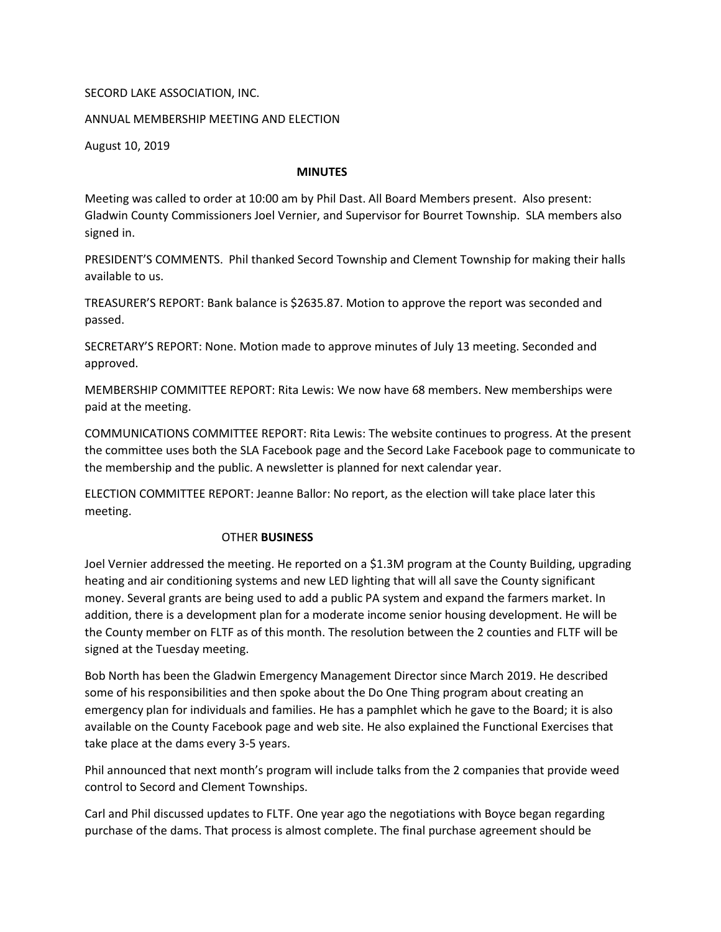## SECORD LAKE ASSOCIATION, INC.

## ANNUAL MEMBERSHIP MEETING AND ELECTION

August 10, 2019

## MINUTES

Meeting was called to order at 10:00 am by Phil Dast. All Board Members present. Also present: Gladwin County Commissioners Joel Vernier, and Supervisor for Bourret Township. SLA members also signed in.

PRESIDENT'S COMMENTS. Phil thanked Secord Township and Clement Township for making their halls available to us.

TREASURER'S REPORT: Bank balance is \$2635.87. Motion to approve the report was seconded and passed.

SECRETARY'S REPORT: None. Motion made to approve minutes of July 13 meeting. Seconded and approved.

MEMBERSHIP COMMITTEE REPORT: Rita Lewis: We now have 68 members. New memberships were paid at the meeting.

COMMUNICATIONS COMMITTEE REPORT: Rita Lewis: The website continues to progress. At the present the committee uses both the SLA Facebook page and the Secord Lake Facebook page to communicate to the membership and the public. A newsletter is planned for next calendar year.

ELECTION COMMITTEE REPORT: Jeanne Ballor: No report, as the election will take place later this meeting.

## OTHER BUSINESS

Joel Vernier addressed the meeting. He reported on a \$1.3M program at the County Building, upgrading heating and air conditioning systems and new LED lighting that will all save the County significant money. Several grants are being used to add a public PA system and expand the farmers market. In addition, there is a development plan for a moderate income senior housing development. He will be the County member on FLTF as of this month. The resolution between the 2 counties and FLTF will be signed at the Tuesday meeting.

Bob North has been the Gladwin Emergency Management Director since March 2019. He described some of his responsibilities and then spoke about the Do One Thing program about creating an emergency plan for individuals and families. He has a pamphlet which he gave to the Board; it is also available on the County Facebook page and web site. He also explained the Functional Exercises that take place at the dams every 3-5 years.

Phil announced that next month's program will include talks from the 2 companies that provide weed control to Secord and Clement Townships.

Carl and Phil discussed updates to FLTF. One year ago the negotiations with Boyce began regarding purchase of the dams. That process is almost complete. The final purchase agreement should be